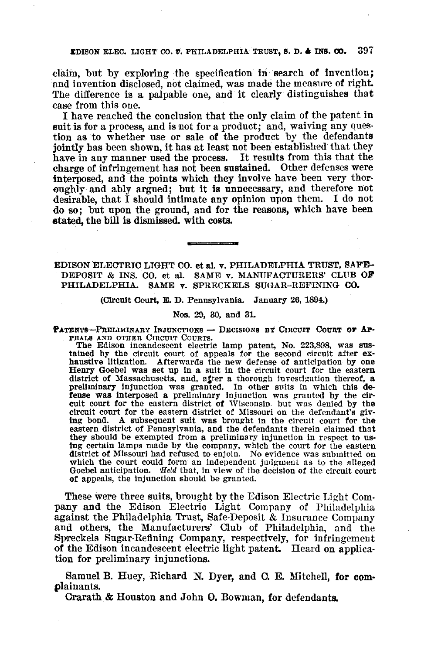EDISON ELEC. LIGHT CO.  $v$ . PHILADELPHIA TRUST, S. D. & INS. CO. 397

claim, but by exploring the specification in search of invention; and invention disclosed, not claimed, was made the measure of right. The difference is a palpable one, and it clearly distinguishes that case from this one.

I have reached the conclusion that the only claim of the patent in suit is for a process, and is not for a product; and, waiving any ques· tion as to whether use or sale of the product by the defendants jointly has been shown, it has at least not been established that they have in any manner used the process. It results from this that the charge of infringement has not been sustained. Other defenses were interposed, and the points which they involve have been very thor· oughly and ably argued; but it is unnecessary, and therefore not desirable, that I should intimate any opinion upon them. I do not do so; but upon the ground, and for the reasons, which have been etated, the bill is dismissed. with costs.

EDISON ELECTRIC LIGHT CO. et al. v. PHILADELPHIA TRUST, SAFE-DEPOSIT & INS. CO. et aI. SAME v. MANUFACTURERS' CLUB OF PHILADELPHIA. SAME v. SPRECKELS SUGAR-REFINING CO.

(CirCUit Court, E. D. Pennsylvania. January 26,1894.)

## Nos. 29, 30, and 31.

PATENTS-PRELIMINARY INJUNCTIONS - DECISIONS BY CIRCUIT COURT OF AP-

PEALS AND OTHER CIRCUIT COURTS.<br>The Edison incandescent electric lamp patent, No. 223,898, was sustained by the circuit court of appeals for the second circuit after exhaustive litigation. Afterwards the new defense of anticipation by one Henry Goebel was set up in a suit in the circuit court for the eastern district o district of Massachusetts, and, after a thorough luvestigation thereof, a preliminary injunction was granted. In other suits in which this de-<br>fense was interposed a preliminary injunction was granted by the circuit court for the eastern district of Wisconsin but was denied by the circuit court for the eastern district of Missouri on the defendant's giv-<br>ing bond. A subsequent suit was brought in the circuit court for the A subsequent suit was brought in the circuit court for the eastern district of Pennsylvania, and the defendants therein claimed that they should be exempted from a preliminary injunction in respect to using certain lamps made by the company, which the court for the eastern district of Missouri had refused to enjoin. No evidence was submitted on district of Missouri had refused to enjoin. No evidence was submitted on which the court could form an independent judgment as to the alleged Goebel anticipation. Held that, in view of the decision of the circuit court of appeals, the injunction should be granted.

These were three suits, brought by the Edison Electric Light Company and the Edison Electric Light Company of Philadelphia against the Philadelphia Trust, Safe-Deposit & Insurance Company and others, the Manufacturers' Club of Philadelphia, and the Spreckels Sugar-Refining Company, respectively, for infringement of the Edison incandescent electric light patent. Heard on application for preliminary injunctions.

Samuel B. Huey, Richard N. Dyer, and O. E. Mitchell, for com. plainants.

Crarath & Houston and John O. Bowman, for defendants.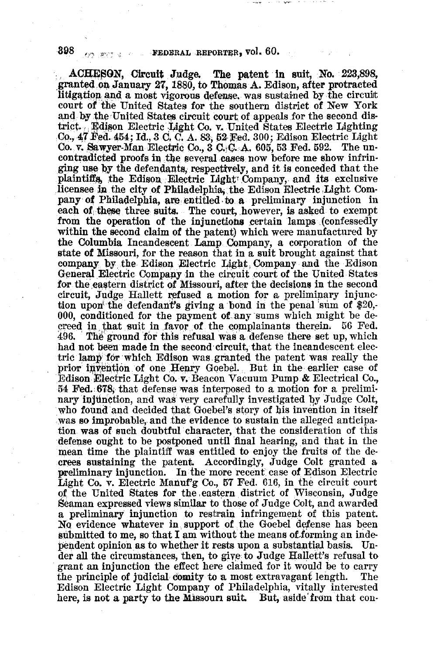ACHESON, Circuit Judge. The patent in suit, No. 223,898, granted on January 27, 1880, to Thomas A. Edison, after protracted litigation and a most vigorous defense, was sustained by the circuit court of the United States for the southern district of New York and by the United States circuit court of appeals for the second district. Edison Electric Light Co. v. United States Electric Lighting Co., 47 Fed. 454; Id., 3 C. C. A. 83, 52 Fed. 300; Edison Electric Light Co. v. Sawyer-Man Electric Co., 3 C. C. A. 605, 53 Fed. 592. The uncontradicted proofs in the several cases now before me show infringing use by the defendants, respectively, and it is conceded that the plaintiffs, the Edison Electric Light Company, and its exclusive licensee in the city of Philadelphia, the Edison Electric Light Company of Philadelphia, are entitled to a preliminary injunction in each of these three suits. The court, however, is asked to exempt from the operation of the injunctions certain lamps (confessedly within the second claim of the patent) which were manufactured by the Columbia Incandescent Lamp Company, a corporation of the state of Missouri, for the reason that in a suit brought against that company by the Edison Electric Light Company and the Edison General Electric Company in the circuit court of the United States for the eastern district of Missouri, after the decisions in the second circuit, Judge Hallett refused a motion for a preliminary injunction upon the defendant's giving a bond in the penal sum of \$20,-000, conditioned for the payment of any sums which might be decreed in that suit in favor of the complainants therein. 56 Fed. 496. The ground for this refusal was a defense there set up, which had not been made in the second circuit, that the incandescent electric lamp for which Edison was granted the patent was really the prior invention of one Henry Goebel. But in the earlier case of Edison Electric Light Co. v. Beacon Vacuum Pump & Electrical Co., 54 Fed. 678, that defense was interposed to a motion for a preliminary injunction, and was very carefully investigated by Judge Colt, who found and decided that Goebel's story of his invention in itself was so improbable, and the evidence to sustain the alleged anticipation was of such doubtful character, that the consideration of this defense ought to be postponed until final hearing, and that in the mean time the plaintiff was entitled to enjoy the fruits of the decrees sustaining the patent. Accordingly, Judge Colt granted a preliminary injunction. In the more recent case of Edison Electric Light Co. v. Electric Manuf'g Co., 57 Fed. 616, in the circuit court of the United States for the eastern district of Wisconsin, Judge Seaman expressed views similar to those of Judge Colt, and awarded a preliminary injunction to restrain infringement of this patent. No evidence whatever in support of the Goebel defense has been submitted to me, so that I am without the means of forming an independent opinion as to whether it rests upon a substantial basis. Under all the circumstances, then, to give to Judge Hallett's refusal to grant an injunction the effect here claimed for it would be to carry the principle of judicial comity to a most extravagant length. The Edison Electric Light Company of Philadelphia, vitally interested here, is not a party to the Missouri suit. But, aside from that con-

eya port la in